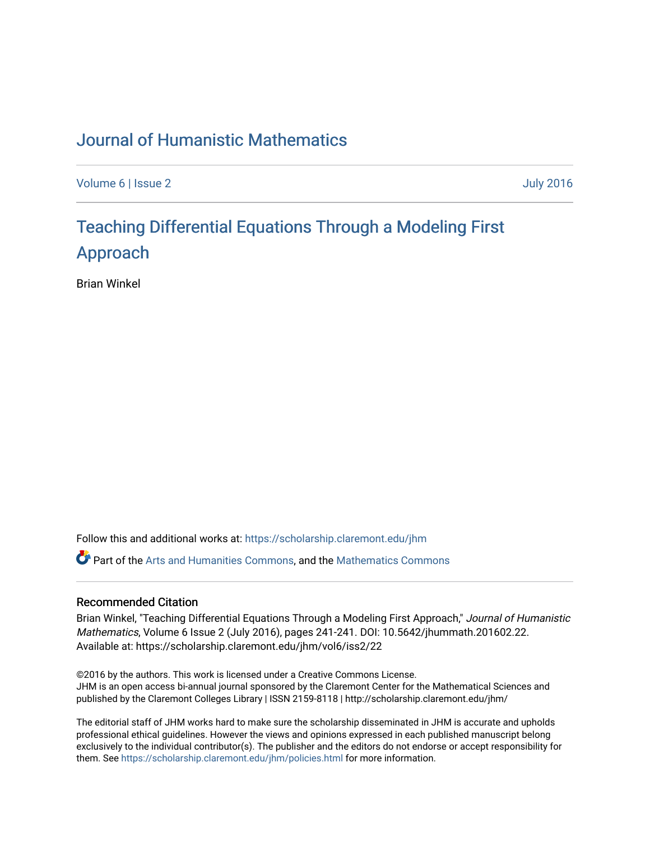### [Journal of Humanistic Mathematics](https://scholarship.claremont.edu/jhm)

[Volume 6](https://scholarship.claremont.edu/jhm/vol6) | [Issue 2](https://scholarship.claremont.edu/jhm/vol6/iss2) [July 2016](https://scholarship.claremont.edu/jhm/vol6/iss2) 

## Teaching Differential E[quations Through a Modeling First](https://scholarship.claremont.edu/jhm/vol6/iss2/22) [Approach](https://scholarship.claremont.edu/jhm/vol6/iss2/22)

Brian Winkel

Follow this and additional works at: [https://scholarship.claremont.edu/jhm](https://scholarship.claremont.edu/jhm?utm_source=scholarship.claremont.edu%2Fjhm%2Fvol6%2Fiss2%2F22&utm_medium=PDF&utm_campaign=PDFCoverPages)

Part of the [Arts and Humanities Commons,](http://network.bepress.com/hgg/discipline/438?utm_source=scholarship.claremont.edu%2Fjhm%2Fvol6%2Fiss2%2F22&utm_medium=PDF&utm_campaign=PDFCoverPages) and the [Mathematics Commons](http://network.bepress.com/hgg/discipline/174?utm_source=scholarship.claremont.edu%2Fjhm%2Fvol6%2Fiss2%2F22&utm_medium=PDF&utm_campaign=PDFCoverPages) 

#### Recommended Citation

Brian Winkel, "Teaching Differential Equations Through a Modeling First Approach," Journal of Humanistic Mathematics, Volume 6 Issue 2 (July 2016), pages 241-241. DOI: 10.5642/jhummath.201602.22. Available at: https://scholarship.claremont.edu/jhm/vol6/iss2/22

©2016 by the authors. This work is licensed under a Creative Commons License. JHM is an open access bi-annual journal sponsored by the Claremont Center for the Mathematical Sciences and published by the Claremont Colleges Library | ISSN 2159-8118 | http://scholarship.claremont.edu/jhm/

The editorial staff of JHM works hard to make sure the scholarship disseminated in JHM is accurate and upholds professional ethical guidelines. However the views and opinions expressed in each published manuscript belong exclusively to the individual contributor(s). The publisher and the editors do not endorse or accept responsibility for them. See<https://scholarship.claremont.edu/jhm/policies.html> for more information.